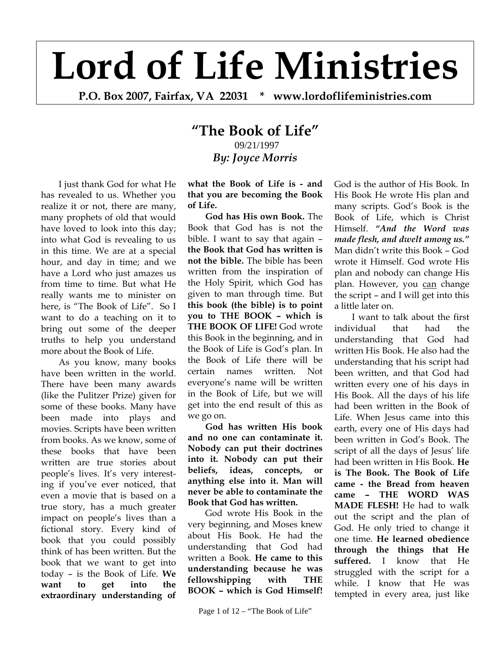## **Lord of Life Ministries**

**P.O. Box 2007, Fairfax, VA 22031 \* www.lordoflifeministries.com**

## **"The Book of Life"** 09/21/1997

*By: Joyce Morris* 

I just thank God for what He has revealed to us. Whether you realize it or not, there are many, many prophets of old that would have loved to look into this day; into what God is revealing to us in this time. We are at a special hour, and day in time; and we have a Lord who just amazes us from time to time. But what He really wants me to minister on here, is "The Book of Life". So I want to do a teaching on it to bring out some of the deeper truths to help you understand more about the Book of Life.

As you know, many books have been written in the world. There have been many awards (like the Pulitzer Prize) given for some of these books. Many have been made into plays and movies. Scripts have been written from books. As we know, some of these books that have been written are true stories about people's lives. It's very interesting if you've ever noticed, that even a movie that is based on a true story, has a much greater impact on people's lives than a fictional story. Every kind of book that you could possibly think of has been written. But the book that we want to get into today – is the Book of Life. **We want to get into the extraordinary understanding of** 

**what the Book of Life is - and that you are becoming the Book of Life.**

**God has His own Book.** The Book that God has is not the bible. I want to say that again – **the Book that God has written is not the bible.** The bible has been written from the inspiration of the Holy Spirit, which God has given to man through time. But **this book (the bible) is to point you to THE BOOK – which is THE BOOK OF LIFE!** God wrote this Book in the beginning, and in the Book of Life is God's plan. In the Book of Life there will be certain names written. Not everyone's name will be written in the Book of Life, but we will get into the end result of this as we go on.

**God has written His book and no one can contaminate it. Nobody can put their doctrines into it. Nobody can put their beliefs, ideas, concepts, or anything else into it. Man will never be able to contaminate the Book that God has written.** 

God wrote His Book in the very beginning, and Moses knew about His Book. He had the understanding that God had written a Book. **He came to this understanding because he was fellowshipping with THE BOOK – which is God Himself!**

God is the author of His Book. In His Book He wrote His plan and many scripts. God's Book is the Book of Life, which is Christ Himself. *"And the Word was made flesh, and dwelt among us."* Man didn't write this Book – God wrote it Himself. God wrote His plan and nobody can change His plan. However, you can change the script – and I will get into this a little later on.

I want to talk about the first individual that had the understanding that God had written His Book. He also had the understanding that his script had been written, and that God had written every one of his days in His Book. All the days of his life had been written in the Book of Life. When Jesus came into this earth, every one of His days had been written in God's Book. The script of all the days of Jesus' life had been written in His Book. **He is The Book. The Book of Life came - the Bread from heaven came – THE WORD WAS MADE FLESH!** He had to walk out the script and the plan of God. He only tried to change it one time. **He learned obedience through the things that He suffered.** I know that He struggled with the script for a while. I know that He was tempted in every area, just like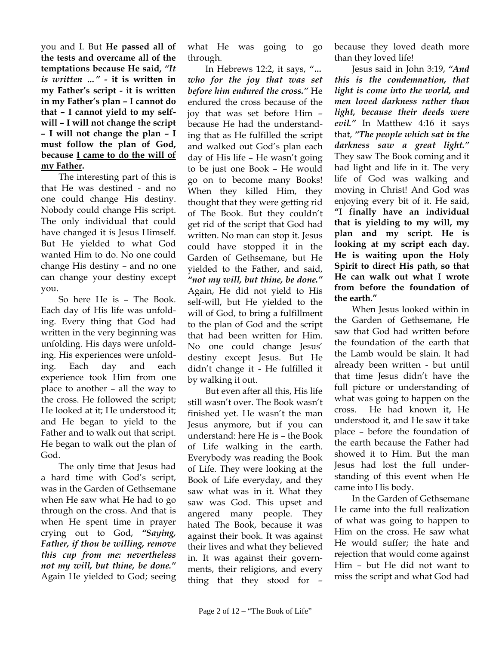you and I. But **He passed all of the tests and overcame all of the temptations because He said,** *"It is written …"* **- it is written in my Father's script - it is written in my Father's plan – I cannot do that – I cannot yield to my selfwill – I will not change the script – I will not change the plan – I must follow the plan of God, because I came to do the will of my Father.** 

The interesting part of this is that He was destined - and no one could change His destiny. Nobody could change His script. The only individual that could have changed it is Jesus Himself. But He yielded to what God wanted Him to do. No one could change His destiny – and no one can change your destiny except you.

So here He is – The Book. Each day of His life was unfolding. Every thing that God had written in the very beginning was unfolding. His days were unfolding. His experiences were unfolding. Each day and each experience took Him from one place to another – all the way to the cross. He followed the script; He looked at it; He understood it; and He began to yield to the Father and to walk out that script. He began to walk out the plan of God.

The only time that Jesus had a hard time with God's script, was in the Garden of Gethsemane when He saw what He had to go through on the cross. And that is when He spent time in prayer crying out to God, *"Saying, Father, if thou be willing, remove this cup from me: nevertheless not my will, but thine, be done."* Again He yielded to God; seeing what He was going to go through.

In Hebrews 12:2, it says, *"… who for the joy that was set before him endured the cross."* He endured the cross because of the joy that was set before Him – because He had the understanding that as He fulfilled the script and walked out God's plan each day of His life – He wasn't going to be just one Book – He would go on to become many Books! When they killed Him, they thought that they were getting rid of The Book. But they couldn't get rid of the script that God had written. No man can stop it. Jesus could have stopped it in the Garden of Gethsemane, but He yielded to the Father, and said, *"not my will, but thine, be done."* Again, He did not yield to His self-will, but He yielded to the will of God, to bring a fulfillment to the plan of God and the script that had been written for Him. No one could change Jesus' destiny except Jesus. But He didn't change it - He fulfilled it by walking it out.

But even after all this, His life still wasn't over. The Book wasn't finished yet. He wasn't the man Jesus anymore, but if you can understand: here He is – the Book of Life walking in the earth. Everybody was reading the Book of Life. They were looking at the Book of Life everyday, and they saw what was in it. What they saw was God. This upset and angered many people. They hated The Book, because it was against their book. It was against their lives and what they believed in. It was against their governments, their religions, and every thing that they stood for –

because they loved death more than they loved life!

Jesus said in John 3:19, *"And this is the condemnation, that light is come into the world, and men loved darkness rather than light, because their deeds were evil."* In Matthew 4:16 it says that, *"The people which sat in the darkness saw a great light."* They saw The Book coming and it had light and life in it. The very life of God was walking and moving in Christ! And God was enjoying every bit of it. He said, **"I finally have an individual that is yielding to my will, my plan and my script. He is looking at my script each day. He is waiting upon the Holy Spirit to direct His path, so that He can walk out what I wrote from before the foundation of the earth."**

When Jesus looked within in the Garden of Gethsemane, He saw that God had written before the foundation of the earth that the Lamb would be slain. It had already been written - but until that time Jesus didn't have the full picture or understanding of what was going to happen on the cross. He had known it, He understood it, and He saw it take place – before the foundation of the earth because the Father had showed it to Him. But the man Jesus had lost the full understanding of this event when He came into His body.

In the Garden of Gethsemane He came into the full realization of what was going to happen to Him on the cross. He saw what He would suffer; the hate and rejection that would come against Him – but He did not want to miss the script and what God had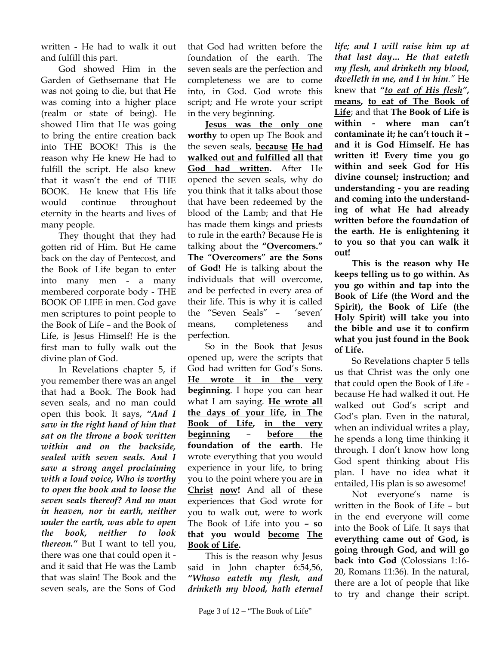written - He had to walk it out and fulfill this part.

God showed Him in the Garden of Gethsemane that He was not going to die, but that He was coming into a higher place (realm or state of being). He showed Him that He was going to bring the entire creation back into THE BOOK! This is the reason why He knew He had to fulfill the script. He also knew that it wasn't the end of THE BOOK. He knew that His life would continue throughout eternity in the hearts and lives of many people.

They thought that they had gotten rid of Him. But He came back on the day of Pentecost, and the Book of Life began to enter into many men - a many membered corporate body - THE BOOK OF LIFE in men. God gave men scriptures to point people to the Book of Life – and the Book of Life, is Jesus Himself! He is the first man to fully walk out the divine plan of God.

In Revelations chapter 5, if you remember there was an angel that had a Book. The Book had seven seals, and no man could open this book. It says, *"And I saw in the right hand of him that sat on the throne a book written within and on the backside, sealed with seven seals. And I saw a strong angel proclaiming with a loud voice, Who is worthy to open the book and to loose the seven seals thereof? And no man in heaven, nor in earth, neither under the earth, was able to open the book, neither to look thereon."* But I want to tell you, there was one that could open it and it said that He was the Lamb that was slain! The Book and the seven seals, are the Sons of God

that God had written before the foundation of the earth. The seven seals are the perfection and completeness we are to come into, in God. God wrote this script; and He wrote your script in the very beginning.

**Jesus was the only one worthy** to open up The Book and the seven seals, **because He had walked out and fulfilled all that God had written.** After He opened the seven seals, why do you think that it talks about those that have been redeemed by the blood of the Lamb; and that He has made them kings and priests to rule in the earth? Because He is talking about the **"Overcomers." The "Overcomers" are the Sons of God!** He is talking about the individuals that will overcome, and be perfected in every area of their life. This is why it is called the "Seven Seals" – 'seven' means, completeness and perfection.

So in the Book that Jesus opened up, were the scripts that God had written for God's Sons. **He wrote it in the very beginning**. I hope you can hear what I am saying. **He wrote all the days of your life, in The Book of Life, in the very beginning** – **before the foundation of the earth**. He wrote everything that you would experience in your life, to bring you to the point where you are **in Christ now!** And all of these experiences that God wrote for you to walk out, were to work The Book of Life into you **– so that you would become The Book of Life.**

This is the reason why Jesus said in John chapter 6:54,56, *"Whoso eateth my flesh, and drinketh my blood, hath eternal*  *life; and I will raise him up at that last day… He that eateth my flesh, and drinketh my blood, dwelleth in me, and I in him."* He knew that *"to eat of His flesh"***, means, to eat of The Book of Life**; and that **The Book of Life is within - where man can't contaminate it; he can't touch it – and it is God Himself. He has written it! Every time you go within and seek God for His divine counsel; instruction; and understanding - you are reading and coming into the understanding of what He had already written before the foundation of the earth. He is enlightening it to you so that you can walk it out!** 

**This is the reason why He keeps telling us to go within. As you go within and tap into the Book of Life (the Word and the Spirit), the Book of Life (the Holy Spirit) will take you into the bible and use it to confirm what you just found in the Book of Life.** 

So Revelations chapter 5 tells us that Christ was the only one that could open the Book of Life because He had walked it out. He walked out God's script and God's plan. Even in the natural, when an individual writes a play, he spends a long time thinking it through. I don't know how long God spent thinking about His plan. I have no idea what it entailed, His plan is so awesome!

Not everyone's name is written in the Book of Life – but in the end everyone will come into the Book of Life. It says that **everything came out of God, is going through God, and will go back into God** (Colossians 1:16- 20, Romans 11:36). In the natural, there are a lot of people that like to try and change their script.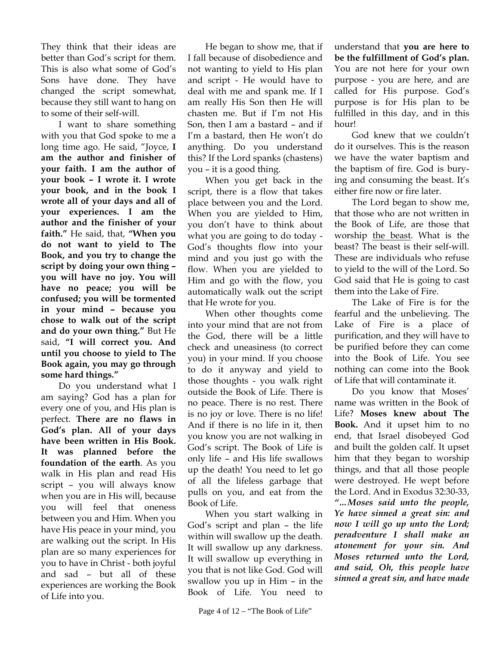They think that their ideas are better than God's script for them. This is also what some of God's Sons have done. They have changed the script somewhat, because they still want to hang on to some of their self-will.

I want to share something with you that God spoke to me a long time ago. He said, "Joyce, **I am the author and finisher of your faith. I am the author of your book – I wrote it. I wrote your book, and in the book I wrote all of your days and all of your experiences. I am the author and the finisher of your faith."** He said, that, **"When you do not want to yield to The Book, and you try to change the script by doing your own thing – you will have no joy. You will have no peace; you will be confused; you will be tormented in your mind – because you chose to walk out of the script and do your own thing."** But He said, **"I will correct you. And until you choose to yield to The Book again, you may go through some hard things."** 

Do you understand what I am saying? God has a plan for every one of you, and His plan is perfect. **There are no flaws in God's plan. All of your days have been written in His Book. It was planned before the foundation of the earth**. As you walk in His plan and read His script – you will always know when you are in His will, because you will feel that oneness between you and Him. When you have His peace in your mind, you are walking out the script. In His plan are so many experiences for you to have in Christ - both joyful and sad – but all of these experiences are working the Book of Life into you.

He began to show me, that if I fall because of disobedience and not wanting to yield to His plan and script - He would have to deal with me and spank me. If I am really His Son then He will chasten me. But if I'm not His Son, then I am a bastard – and if I'm a bastard, then He won't do anything. Do you understand this? If the Lord spanks (chastens) you – it is a good thing.

When you get back in the script, there is a flow that takes place between you and the Lord. When you are yielded to Him, you don't have to think about what you are going to do today - God's thoughts flow into your mind and you just go with the flow. When you are yielded to Him and go with the flow, you automatically walk out the script that He wrote for you.

When other thoughts come into your mind that are not from the God, there will be a little check and uneasiness (to correct you) in your mind. If you choose to do it anyway and yield to those thoughts - you walk right outside the Book of Life. There is no peace. There is no rest. There is no joy or love. There is no life! And if there is no life in it, then you know you are not walking in God's script. The Book of Life is only life – and His life swallows up the death! You need to let go of all the lifeless garbage that pulls on you, and eat from the Book of Life.

When you start walking in God's script and plan – the life within will swallow up the death. It will swallow up any darkness. It will swallow up everything in you that is not like God. God will swallow you up in Him – in the Book of Life. You need to

understand that **you are here to be the fulfillment of God's plan.** You are not here for your own purpose - you are here, and are called for His purpose. God's purpose is for His plan to be fulfilled in this day, and in this hour!

God knew that we couldn't do it ourselves. This is the reason we have the water baptism and the baptism of fire. God is burying and consuming the beast. It's either fire now or fire later.

The Lord began to show me, that those who are not written in the Book of Life, are those that worship the beast. What is the beast? The beast is their self-will. These are individuals who refuse to yield to the will of the Lord. So God said that He is going to cast them into the Lake of Fire.

The Lake of Fire is for the fearful and the unbelieving. The Lake of Fire is a place of purification, and they will have to be purified before they can come into the Book of Life. You see nothing can come into the Book of Life that will contaminate it.

Do you know that Moses' name was written in the Book of Life? **Moses knew about The Book.** And it upset him to no end, that Israel disobeyed God and built the golden calf. It upset him that they began to worship things, and that all those people were destroyed. He wept before the Lord. And in Exodus 32:30-33, *"…Moses said unto the people, Ye have sinned a great sin: and now I will go up unto the Lord; peradventure I shall make an atonement for your sin. And Moses returned unto the Lord, and said, Oh, this people have sinned a great sin, and have made*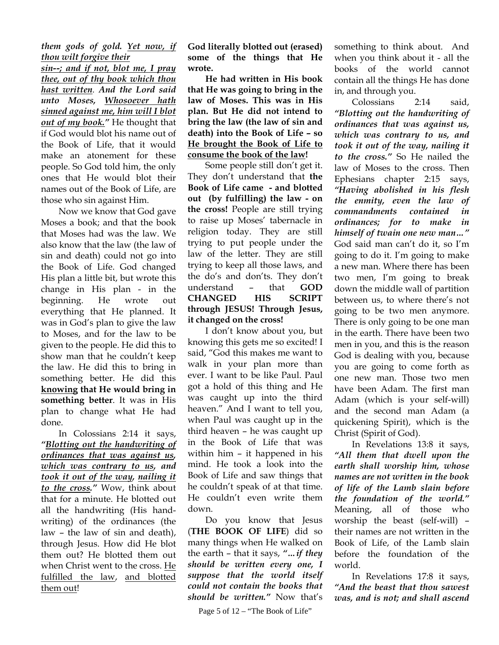## *them gods of gold. Yet now, if thou wilt forgive their*

*sin--; and if not, blot me, I pray thee, out of thy book which thou hast written. And the Lord said unto Moses, Whosoever hath sinned against me, him will I blot out of my book."* He thought that if God would blot his name out of the Book of Life, that it would make an atonement for these people. So God told him, the only ones that He would blot their names out of the Book of Life, are those who sin against Him.

Now we know that God gave Moses a book; and that the book that Moses had was the law. We also know that the law (the law of sin and death) could not go into the Book of Life. God changed His plan a little bit, but wrote this change in His plan - in the beginning. He wrote out everything that He planned. It was in God's plan to give the law to Moses, and for the law to be given to the people. He did this to show man that he couldn't keep the law. He did this to bring in something better. He did this **knowing that He would bring in something better**. It was in His plan to change what He had done.

In Colossians 2:14 it says, *"Blotting out the handwriting of ordinances that was against us, which was contrary to us, and took it out of the way, nailing it to the cross."* Wow, think about that for a minute. He blotted out all the handwriting (His handwriting) of the ordinances (the law – the law of sin and death), through Jesus. How did He blot them out? He blotted them out when Christ went to the cross. He fulfilled the law, and blotted them out!

**God literally blotted out (erased) some of the things that He wrote.** 

**He had written in His book that He was going to bring in the law of Moses. This was in His plan. But He did not intend to bring the law (the law of sin and death) into the Book of Life – so He brought the Book of Life to consume the book of the law!** 

 Some people still don't get it. They don't understand that **the Book of Life came - and blotted out (by fulfilling) the law - on the cross!** People are still trying to raise up Moses' tabernacle in religion today. They are still trying to put people under the law of the letter. They are still trying to keep all those laws, and the do's and don'ts. They don't understand – that **GOD CHANGED HIS SCRIPT through JESUS! Through Jesus, it changed on the cross!** 

I don't know about you, but knowing this gets me so excited! I said, "God this makes me want to walk in your plan more than ever. I want to be like Paul. Paul got a hold of this thing and He was caught up into the third heaven." And I want to tell you, when Paul was caught up in the third heaven – he was caught up in the Book of Life that was within him – it happened in his mind. He took a look into the Book of Life and saw things that he couldn't speak of at that time. He couldn't even write them down.

Do you know that Jesus (**THE BOOK OF LIFE**) did so many things when He walked on the earth – that it says, *"…if they should be written every one, I suppose that the world itself could not contain the books that should be written."* Now that's

something to think about. And when you think about it - all the books of the world cannot contain all the things He has done in, and through you.

 Colossians 2:14 said, *"Blotting out the handwriting of ordinances that was against us, which was contrary to us, and took it out of the way, nailing it to the cross."* So He nailed the law of Moses to the cross. Then Ephesians chapter 2:15 says, *"Having abolished in his flesh the enmity, even the law of commandments contained in ordinances; for to make in himself of twain one new man…"* God said man can't do it, so I'm going to do it. I'm going to make a new man. Where there has been two men, I'm going to break down the middle wall of partition between us, to where there's not going to be two men anymore. There is only going to be one man in the earth. There have been two men in you, and this is the reason God is dealing with you, because you are going to come forth as one new man. Those two men have been Adam. The first man Adam (which is your self-will) and the second man Adam (a quickening Spirit), which is the Christ (Spirit of God).

 In Revelations 13:8 it says, *"All them that dwell upon the earth shall worship him, whose names are not written in the book of life of the Lamb slain before the foundation of the world."* Meaning, all of those who worship the beast (self-will) – their names are not written in the Book of Life, of the Lamb slain before the foundation of the world.

In Revelations 17:8 it says, *"And the beast that thou sawest was, and is not; and shall ascend* 

Page 5 of 12 – "The Book of Life"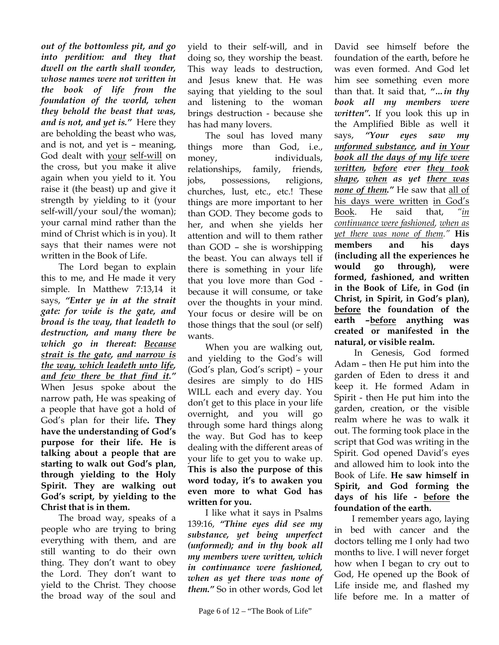*out of the bottomless pit, and go into perdition: and they that dwell on the earth shall wonder, whose names were not written in the book of life from the foundation of the world, when they behold the beast that was, and is not, and yet is."* Here they are beholding the beast who was, and is not, and yet is – meaning, God dealt with your self-will on the cross, but you make it alive again when you yield to it. You raise it (the beast) up and give it strength by yielding to it (your self-will/your soul/the woman); your carnal mind rather than the mind of Christ which is in you). It says that their names were not written in the Book of Life.

The Lord began to explain this to me, and He made it very simple. In Matthew 7:13,14 it says, *"Enter ye in at the strait gate: for wide is the gate, and broad is the way, that leadeth to destruction, and many there be which go in thereat: Because strait is the gate, and narrow is the way, which leadeth unto life, and few there be that find it."* When Jesus spoke about the narrow path, He was speaking of a people that have got a hold of God's plan for their life**. They have the understanding of God's purpose for their life. He is talking about a people that are starting to walk out God's plan, through yielding to the Holy Spirit. They are walking out God's script, by yielding to the Christ that is in them.** 

The broad way, speaks of a people who are trying to bring everything with them, and are still wanting to do their own thing. They don't want to obey the Lord. They don't want to yield to the Christ. They choose the broad way of the soul and yield to their self-will, and in doing so, they worship the beast. This way leads to destruction, and Jesus knew that. He was saying that yielding to the soul and listening to the woman brings destruction - because she has had many lovers.

The soul has loved many things more than God, i.e., money, individuals, relationships, family, friends, jobs, possessions, religions, churches, lust, etc., etc.! These things are more important to her than GOD. They become gods to her, and when she yields her attention and will to them rather than GOD – she is worshipping the beast. You can always tell if there is something in your life that you love more than God because it will consume, or take over the thoughts in your mind. Your focus or desire will be on those things that the soul (or self) wants.

When you are walking out, and yielding to the God's will (God's plan, God's script) – your desires are simply to do HIS WILL each and every day. You don't get to this place in your life overnight, and you will go through some hard things along the way. But God has to keep dealing with the different areas of your life to get you to wake up. **This is also the purpose of this word today, it's to awaken you even more to what God has written for you.** 

I like what it says in Psalms 139:16, *"Thine eyes did see my substance, yet being unperfect (unformed); and in thy book all my members were written, which in continuance were fashioned, when as yet there was none of them."* So in other words, God let

David see himself before the foundation of the earth, before he was even formed. And God let him see something even more than that. It said that, *"…in thy book all my members were written".* If you look this up in the Amplified Bible as well it says, *"Your eyes saw my unformed substance, and in Your book all the days of my life were written, before ever they took shape, when as yet there was none of them."* He saw that all of his days were written in God's Book. He said that, *"in continuance were fashioned, when as yet there was none of them."* **His members and his days (including all the experiences he would go through), were formed, fashioned, and written in the Book of Life, in God (in Christ, in Spirit, in God's plan), before the foundation of the earth –before anything was created or manifested in the natural, or visible realm.** 

In Genesis, God formed Adam – then He put him into the garden of Eden to dress it and keep it. He formed Adam in Spirit - then He put him into the garden, creation, or the visible realm where he was to walk it out. The forming took place in the script that God was writing in the Spirit. God opened David's eyes and allowed him to look into the Book of Life. **He saw himself in Spirit, and God forming the days of his life - before the foundation of the earth.**

I remember years ago, laying in bed with cancer and the doctors telling me I only had two months to live. I will never forget how when I began to cry out to God, He opened up the Book of Life inside me, and flashed my life before me. In a matter of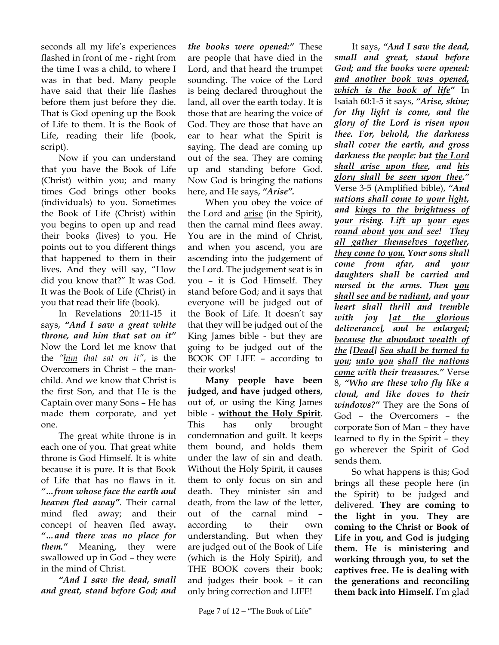seconds all my life's experiences flashed in front of me - right from the time I was a child, to where I was in that bed. Many people have said that their life flashes before them just before they die. That is God opening up the Book of Life to them. It is the Book of Life, reading their life (book, script).

Now if you can understand that you have the Book of Life (Christ) within you; and many times God brings other books (individuals) to you. Sometimes the Book of Life (Christ) within you begins to open up and read their books (lives) to you. He points out to you different things that happened to them in their lives. And they will say, "How did you know that?" It was God. It was the Book of Life (Christ) in you that read their life (book).

In Revelations 20:11-15 it says, *"And I saw a great white throne, and him that sat on it"* Now the Lord let me know that the *"him that sat on it"*, is the Overcomers in Christ – the manchild. And we know that Christ is the first Son, and that He is the Captain over many Sons – He has made them corporate, and yet one.

The great white throne is in each one of you. That great white throne is God Himself. It is white because it is pure. It is that Book of Life that has no flaws in it. *"…from whose face the earth and heaven fled away".* Their carnal mind fled away; and their concept of heaven fled away**.**  *"…and there was no place for them."* Meaning, they were swallowed up in God – they were in the mind of Christ.

*"And I saw the dead, small and great, stand before God; and* 

*the books were opened:"* These are people that have died in the Lord, and that heard the trumpet sounding. The voice of the Lord is being declared throughout the land, all over the earth today. It is those that are hearing the voice of God. They are those that have an ear to hear what the Spirit is saying. The dead are coming up out of the sea. They are coming up and standing before God. Now God is bringing the nations here, and He says, *"Arise".*

When you obey the voice of the Lord and arise (in the Spirit), then the carnal mind flees away. You are in the mind of Christ, and when you ascend, you are ascending into the judgement of the Lord. The judgement seat is in you – it is God Himself. They stand before God; and it says that everyone will be judged out of the Book of Life. It doesn't say that they will be judged out of the King James bible - but they are going to be judged out of the BOOK OF LIFE – according to their works!

**Many people have been judged, and have judged others,** out of, or using the King James bible - **without the Holy Spirit**. This has only brought condemnation and guilt. It keeps them bound, and holds them under the law of sin and death. Without the Holy Spirit, it causes them to only focus on sin and death. They minister sin and death, from the law of the letter, out of the carnal mind – according to their own understanding. But when they are judged out of the Book of Life (which is the Holy Spirit), and THE BOOK covers their book; and judges their book – it can only bring correction and LIFE!

It says, *"And I saw the dead, small and great, stand before God; and the books were opened: and another book was opened, which is the book of life"* In Isaiah 60:1-5 it says, *"Arise, shine; for thy light is come, and the glory of the Lord is risen upon thee. For, behold, the darkness shall cover the earth, and gross darkness the people: but the Lord shall arise upon thee, and his glory shall be seen upon thee."* Verse 3-5 (Amplified bible), *"And nations shall come to your light, and kings to the brightness of your rising. Lift up your eyes round about you and see! They all gather themselves together, they come to you. Your sons shall come from afar, and your daughters shall be carried and nursed in the arms. Then you shall see and be radiant, and your heart shall thrill and tremble with joy [at the glorious deliverance], and be enlarged; because the abundant wealth of the [Dead] Sea shall be turned to you; unto you shall the nations come with their treasures."* Verse 8, *"Who are these who fly like a cloud, and like doves to their windows?"* They are the Sons of God – the Overcomers – the corporate Son of Man – they have learned to fly in the Spirit – they go wherever the Spirit of God sends them.

So what happens is this; God brings all these people here (in the Spirit) to be judged and delivered. **They are coming to the light in you. They are coming to the Christ or Book of Life in you, and God is judging them. He is ministering and working through you, to set the captives free. He is dealing with the generations and reconciling them back into Himself.** I'm glad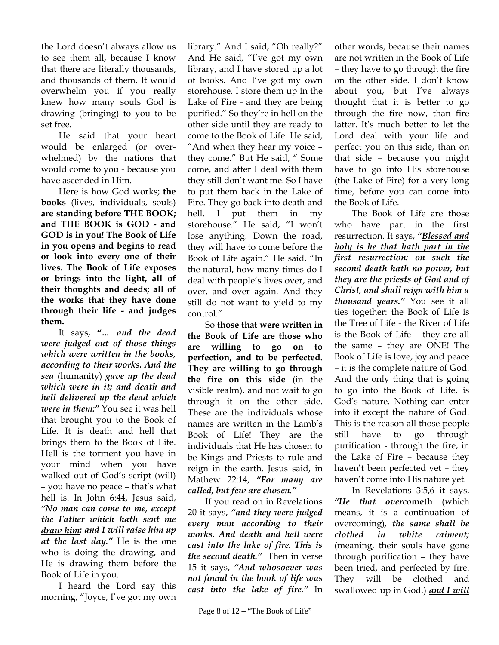the Lord doesn't always allow us to see them all, because I know that there are literally thousands, and thousands of them. It would overwhelm you if you really knew how many souls God is drawing (bringing) to you to be set free.

He said that your heart would be enlarged (or overwhelmed) by the nations that would come to you - because you have ascended in Him.

Here is how God works; **the books** (lives, individuals, souls) **are standing before THE BOOK; and THE BOOK is GOD - and GOD is in you! The Book of Life in you opens and begins to read or look into every one of their lives. The Book of Life exposes or brings into the light, all of their thoughts and deeds; all of the works that they have done through their life - and judges them.** 

It says, *"… and the dead were judged out of those things which were written in the books, according to their works. And the sea* (humanity) *gave up the dead which were in it; and death and hell delivered up the dead which were in them:"* You see it was hell that brought you to the Book of Life. It is death and hell that brings them to the Book of Life. Hell is the torment you have in your mind when you have walked out of God's script (will) – you have no peace – that's what hell is. In John 6:44, Jesus said, *"No man can come to me, except the Father which hath sent me draw him: and I will raise him up at the last day."* He is the one who is doing the drawing, and He is drawing them before the Book of Life in you.

I heard the Lord say this morning, "Joyce, I've got my own library." And I said, "Oh really?" And He said, "I've got my own library, and I have stored up a lot of books. And I've got my own storehouse. I store them up in the Lake of Fire - and they are being purified." So they're in hell on the other side until they are ready to come to the Book of Life. He said, "And when they hear my voice – they come." But He said, " Some come, and after I deal with them they still don't want me. So I have to put them back in the Lake of Fire. They go back into death and hell. I put them in my storehouse." He said, "I won't lose anything. Down the road, they will have to come before the Book of Life again." He said, "In the natural, how many times do I deal with people's lives over, and over, and over again. And they still do not want to yield to my control."

So **those that were written in the Book of Life are those who are willing to go on to perfection, and to be perfected. They are willing to go through the fire on this side** (in the visible realm), and not wait to go through it on the other side. These are the individuals whose names are written in the Lamb's Book of Life! They are the individuals that He has chosen to be Kings and Priests to rule and reign in the earth. Jesus said, in Mathew 22:14, *"For many are called, but few are chosen."*

If you read on in Revelations 20 it says, *"and they were judged every man according to their works. And death and hell were cast into the lake of fire. This is the second death."* Then in verse 15 it says, *"And whosoever was not found in the book of life was cast into the lake of fire."* In

other words, because their names are not written in the Book of Life – they have to go through the fire on the other side. I don't know about you, but I've always thought that it is better to go through the fire now, than fire latter. It's much better to let the Lord deal with your life and perfect you on this side, than on that side – because you might have to go into His storehouse (the Lake of Fire) for a very long time, before you can come into the Book of Life.

The Book of Life are those who have part in the first resurrection. It says, *"Blessed and holy is he that hath part in the first resurrection: on such the second death hath no power, but they are the priests of God and of Christ, and shall reign with him a thousand years."* You see it all ties together: the Book of Life is the Tree of Life - the River of Life is the Book of Life – they are all the same – they are ONE! The Book of Life is love, joy and peace – it is the complete nature of God. And the only thing that is going to go into the Book of Life, is God's nature. Nothing can enter into it except the nature of God. This is the reason all those people still have to go through purification - through the fire, in the Lake of Fire – because they haven't been perfected yet – they haven't come into His nature yet.

In Revelations 3:5,6 it says, *"He that overco***meth** (which means, it is a continuation of overcoming)*, the same shall be clothed in white raiment;* (meaning, their souls have gone through purification – they have been tried, and perfected by fire. They will be clothed and swallowed up in God.) *and I will*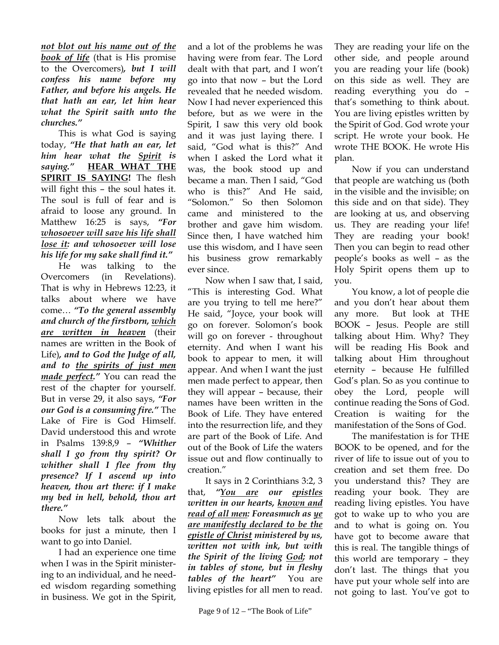*not blot out his name out of the book of life* (that is His promise to the Overcomers)*, but I will confess his name before my Father, and before his angels. He that hath an ear, let him hear what the Spirit saith unto the churches."*

This is what God is saying today, *"He that hath an ear, let him hear what the Spirit is saying."* **HEAR WHAT THE SPIRIT IS SAYING!** The flesh will fight this – the soul hates it. The soul is full of fear and is afraid to loose any ground. In Matthew 16:25 is says, *"For whosoever will save his life shall lose it: and whosoever will lose his life for my sake shall find it."*

He was talking to the Overcomers (in Revelations). That is why in Hebrews 12:23, it talks about where we have come… *"To the general assembly and church of the firstborn, which are written in heaven* (their names are written in the Book of Life)*, and to God the Judge of all, and to the spirits of just men made perfect."* You can read the rest of the chapter for yourself. But in verse 29, it also says, *"For our God is a consuming fire."* The Lake of Fire is God Himself. David understood this and wrote in Psalms 139:8,9 – *"Whither shall I go from thy spirit? Or whither shall I flee from thy presence? If I ascend up into heaven, thou art there: if I make my bed in hell, behold, thou art there."*

Now lets talk about the books for just a minute, then I want to go into Daniel.

I had an experience one time when I was in the Spirit ministering to an individual, and he needed wisdom regarding something in business. We got in the Spirit,

and a lot of the problems he was having were from fear. The Lord dealt with that part, and I won't go into that now – but the Lord revealed that he needed wisdom. Now I had never experienced this before, but as we were in the Spirit, I saw this very old book and it was just laying there. I said, "God what is this?" And when I asked the Lord what it was, the book stood up and became a man. Then I said, "God who is this?" And He said, "Solomon." So then Solomon came and ministered to the brother and gave him wisdom. Since then, I have watched him use this wisdom, and I have seen his business grow remarkably ever since.

Now when I saw that, I said, "This is interesting God. What are you trying to tell me here?" He said, "Joyce, your book will go on forever. Solomon's book will go on forever - throughout eternity. And when I want his book to appear to men, it will appear. And when I want the just men made perfect to appear, then they will appear – because, their names have been written in the Book of Life. They have entered into the resurrection life, and they are part of the Book of Life. And out of the Book of Life the waters issue out and flow continually to creation."

It says in 2 Corinthians 3:2, 3 that, *"You are our epistles written in our hearts, known and read of all men: Foreasmuch as ye are manifestly declared to be the epistle of Christ ministered by us, written not with ink, but with the Spirit of the living God; not in tables of stone, but in fleshy tables of the heart"* You are living epistles for all men to read.

They are reading your life on the other side, and people around you are reading your life (book) on this side as well. They are reading everything you do – that's something to think about. You are living epistles written by the Spirit of God. God wrote your script. He wrote your book. He wrote THE BOOK. He wrote His plan.

Now if you can understand that people are watching us (both in the visible and the invisible; on this side and on that side). They are looking at us, and observing us. They are reading your life! They are reading your book! Then you can begin to read other people's books as well – as the Holy Spirit opens them up to you.

You know, a lot of people die and you don't hear about them any more. But look at THE BOOK – Jesus. People are still talking about Him. Why? They will be reading His Book and talking about Him throughout eternity – because He fulfilled God's plan. So as you continue to obey the Lord, people will continue reading the Sons of God. Creation is waiting for the manifestation of the Sons of God.

The manifestation is for THE BOOK to be opened, and for the river of life to issue out of you to creation and set them free. Do you understand this? They are reading your book. They are reading living epistles. You have got to wake up to who you are and to what is going on. You have got to become aware that this is real. The tangible things of this world are temporary – they don't last. The things that you have put your whole self into are not going to last. You've got to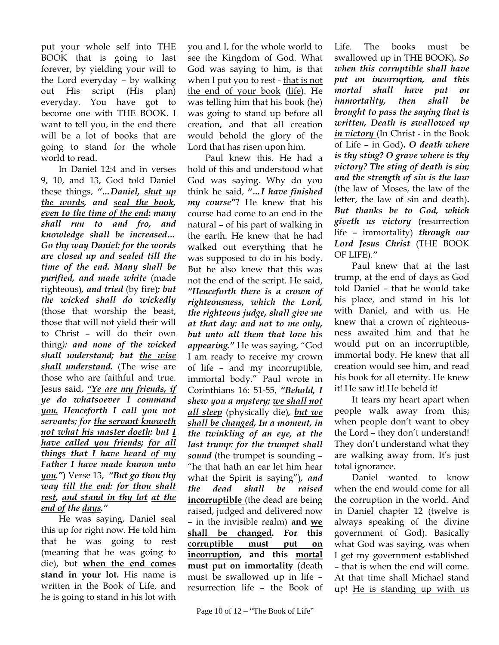put your whole self into THE BOOK that is going to last forever, by yielding your will to the Lord everyday – by walking out His script (His plan) everyday. You have got to become one with THE BOOK. I want to tell you, in the end there will be a lot of books that are going to stand for the whole world to read.

In Daniel 12:4 and in verses 9, 10, and 13, God told Daniel these things, *"…Daniel, shut up the words, and seal the book, even to the time of the end: many shall run to and fro, and knowledge shall be increased… Go thy way Daniel: for the words are closed up and sealed till the time of the end. Many shall be purified, and made white* (made righteous)*, and tried* (by fire)*; but the wicked shall do wickedly* (those that worship the beast, those that will not yield their will to Christ – will do their own thing*): and none of the wicked shall understand; but the wise shall understand.* (The wise are those who are faithful and true. Jesus said, *"Ye are my friends, if ye do whatsoever I command you. Henceforth I call you not servants; for the servant knoweth not what his master doeth: but I have called you friends; for all things that I have heard of my Father I have made known unto you."*) Verse 13,*"But go thou thy way till the end: for thou shalt rest, and stand in thy lot at the end of the days."*

He was saying, Daniel seal this up for right now. He told him that he was going to rest (meaning that he was going to die), but **when the end comes stand in your lot.** His name is written in the Book of Life, and he is going to stand in his lot with

you and I, for the whole world to see the Kingdom of God. What God was saying to him, is that when I put you to rest - that is not the end of your book (life). He was telling him that his book (he) was going to stand up before all creation, and that all creation would behold the glory of the Lord that has risen upon him.

Paul knew this. He had a hold of this and understood what God was saying. Why do you think he said, *"…I have finished my course"*? He knew that his course had come to an end in the natural – of his part of walking in the earth. He knew that he had walked out everything that he was supposed to do in his body. But he also knew that this was not the end of the script. He said, *"Henceforth there is a crown of righteousness, which the Lord, the righteous judge, shall give me at that day: and not to me only, but unto all them that love his appearing."* He was saying, "God I am ready to receive my crown of life – and my incorruptible, immortal body." Paul wrote in Corinthians 16: 51-55, *"Behold, I shew you a mystery; we shall not all sleep* (physically die)*, but we shall be changed, In a moment, in the twinkling of an eye, at the last trump: for the trumpet shall sound* (the trumpet is sounding – "he that hath an ear let him hear what the Spirit is saying")*, and the dead shall be raised* **incorruptible** (the dead are being raised, judged and delivered now – in the invisible realm) **and we shall be changed. For this corruptible must put on incorruption, and this mortal must put on immortality** (death must be swallowed up in life – resurrection life – the Book of

Life. The books must be swallowed up in THE BOOK)*. So when this corruptible shall have put on incorruption, and this mortal shall have put on immortality, then shall be brought to pass the saying that is written, Death is swallowed up in victory* (In Christ - in the Book of Life – in God)**.** *O death where is thy sting? O grave where is thy victory? The sting of death is sin; and the strength of sin is the law* (the law of Moses, the law of the letter, the law of sin and death)**.**  *But thanks be to God, which giveth us victory* (resurrection life – immortality) *through our Lord Jesus Christ* (THE BOOK OF LIFE)*."* 

Paul knew that at the last trump, at the end of days as God told Daniel – that he would take his place, and stand in his lot with Daniel, and with us. He knew that a crown of righteousness awaited him and that he would put on an incorruptible, immortal body. He knew that all creation would see him, and read his book for all eternity. He knew it! He saw it! He beheld it!

It tears my heart apart when people walk away from this; when people don't want to obey the Lord – they don't understand! They don't understand what they are walking away from. It's just total ignorance.

Daniel wanted to know when the end would come for all the corruption in the world. And in Daniel chapter 12 (twelve is always speaking of the divine government of God). Basically what God was saying, was when I get my government established – that is when the end will come. At that time shall Michael stand up! He is standing up with us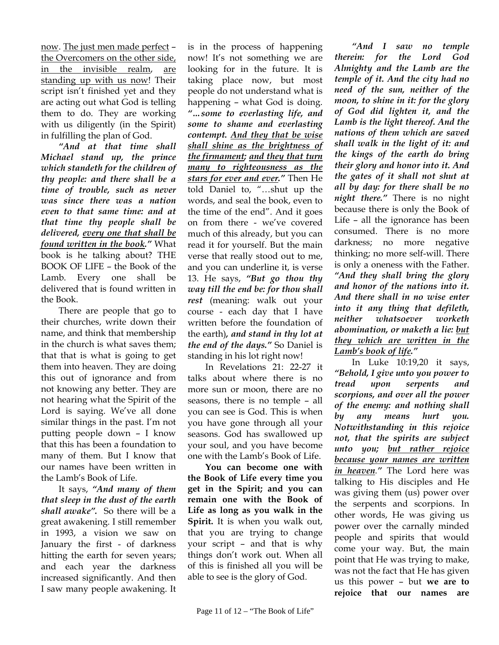now. The just men made perfect – the Overcomers on the other side, in the invisible realm, are standing up with us now! Their script isn't finished yet and they are acting out what God is telling them to do. They are working with us diligently (in the Spirit) in fulfilling the plan of God.

*"And at that time shall Michael stand up, the prince which standeth for the children of thy people: and there shall be a time of trouble, such as never was since there was a nation even to that same time: and at that time thy people shall be delivered, every one that shall be found written in the book."* What book is he talking about? THE BOOK OF LIFE – the Book of the Lamb. Every one shall be delivered that is found written in the Book.

There are people that go to their churches, write down their name, and think that membership in the church is what saves them; that that is what is going to get them into heaven. They are doing this out of ignorance and from not knowing any better. They are not hearing what the Spirit of the Lord is saying. We've all done similar things in the past. I'm not putting people down – I know that this has been a foundation to many of them. But I know that our names have been written in the Lamb's Book of Life.

It says, *"And many of them that sleep in the dust of the earth shall awake".* So there will be a great awakening. I still remember in 1993, a vision we saw on January the first - of darkness hitting the earth for seven years; and each year the darkness increased significantly. And then I saw many people awakening. It

is in the process of happening now! It's not something we are looking for in the future. It is taking place now, but most people do not understand what is happening – what God is doing. *"…some to everlasting life, and some to shame and everlasting contempt. And they that be wise shall shine as the brightness of the firmament; and they that turn many to righteousness as the stars for ever and ever."* Then He told Daniel to, "…shut up the words, and seal the book, even to the time of the end". And it goes on from there - we've covered much of this already, but you can read it for yourself. But the main verse that really stood out to me, and you can underline it, is verse 13. He says, *"But go thou thy way till the end be: for thou shall rest* (meaning: walk out your course - each day that I have written before the foundation of the earth)*, and stand in thy lot at the end of the days."* So Daniel is standing in his lot right now!

In Revelations 21: 22-27 it talks about where there is no more sun or moon, there are no seasons, there is no temple – all you can see is God. This is when you have gone through all your seasons. God has swallowed up your soul, and you have become one with the Lamb's Book of Life.

**You can become one with the Book of Life every time you get in the Spirit; and you can remain one with the Book of Life as long as you walk in the Spirit.** It is when you walk out, that you are trying to change your script – and that is why things don't work out. When all of this is finished all you will be able to see is the glory of God.

*"And I saw no temple therein: for the Lord God Almighty and the Lamb are the temple of it. And the city had no need of the sun, neither of the moon, to shine in it: for the glory of God did lighten it, and the Lamb is the light thereof. And the nations of them which are saved shall walk in the light of it: and the kings of the earth do bring their glory and honor into it. And the gates of it shall not shut at all by day: for there shall be no night there."* There is no night because there is only the Book of Life – all the ignorance has been consumed. There is no more darkness; no more negative thinking; no more self-will. There is only a oneness with the Father. *"And they shall bring the glory and honor of the nations into it. And there shall in no wise enter into it any thing that defileth, neither whatsoever worketh abomination, or maketh a lie: but they which are written in the Lamb's book of life."*

In Luke 10:19,20 it says, *"Behold, I give unto you power to tread upon serpents and scorpions, and over all the power of the enemy: and nothing shall by any means hurt you. Notwithstanding in this rejoice not, that the spirits are subject unto you; but rather rejoice because your names are written in heaven."* The Lord here was talking to His disciples and He was giving them (us) power over the serpents and scorpions. In other words, He was giving us power over the carnally minded people and spirits that would come your way. But, the main point that He was trying to make, was not the fact that He has given us this power – but **we are to rejoice that our names are**